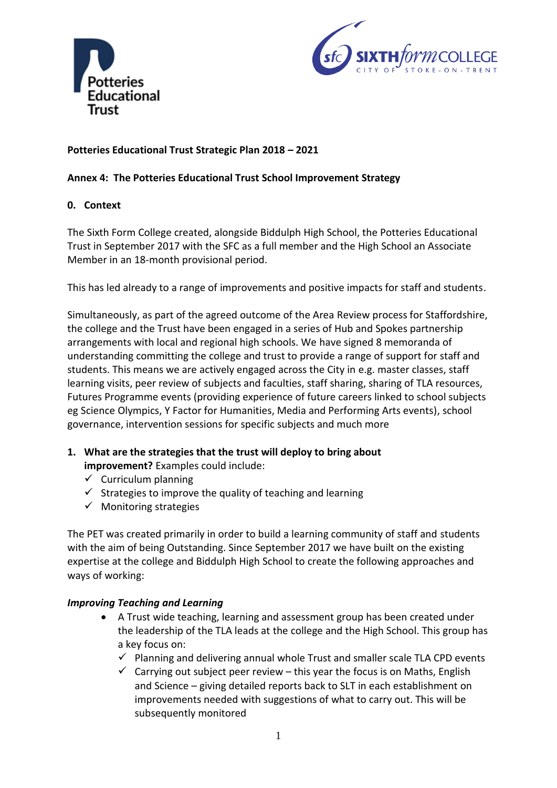



# **Potteries Educational Trust Strategic Plan 2018 – 2021**

### **Annex 4: The Potteries Educational Trust School Improvement Strategy**

### **0. Context**

The Sixth Form College created, alongside Biddulph High School, the Potteries Educational Trust in September 2017 with the SFC as a full member and the High School an Associate Member in an 18-month provisional period.

This has led already to a range of improvements and positive impacts for staff and students.

Simultaneously, as part of the agreed outcome of the Area Review process for Staffordshire, the college and the Trust have been engaged in a series of Hub and Spokes partnership arrangements with local and regional high schools. We have signed 8 memoranda of understanding committing the college and trust to provide a range of support for staff and students. This means we are actively engaged across the City in e.g. master classes, staff learning visits, peer review of subjects and faculties, staff sharing, sharing of TLA resources, Futures Programme events (providing experience of future careers linked to school subjects eg Science Olympics, Y Factor for Humanities, Media and Performing Arts events), school governance, intervention sessions for specific subjects and much more

## **1. What are the strategies that the trust will deploy to bring about**

**improvement?** Examples could include:

- $\checkmark$  Curriculum planning
- $\checkmark$  Strategies to improve the quality of teaching and learning
- $\checkmark$  Monitoring strategies

The PET was created primarily in order to build a learning community of staff and students with the aim of being Outstanding. Since September 2017 we have built on the existing expertise at the college and Biddulph High School to create the following approaches and ways of working:

#### *Improving Teaching and Learning*

- A Trust wide teaching, learning and assessment group has been created under the leadership of the TLA leads at the college and the High School. This group has a key focus on:
	- $\checkmark$  Planning and delivering annual whole Trust and smaller scale TLA CPD events
	- $\checkmark$  Carrying out subject peer review this year the focus is on Maths, English and Science – giving detailed reports back to SLT in each establishment on improvements needed with suggestions of what to carry out. This will be subsequently monitored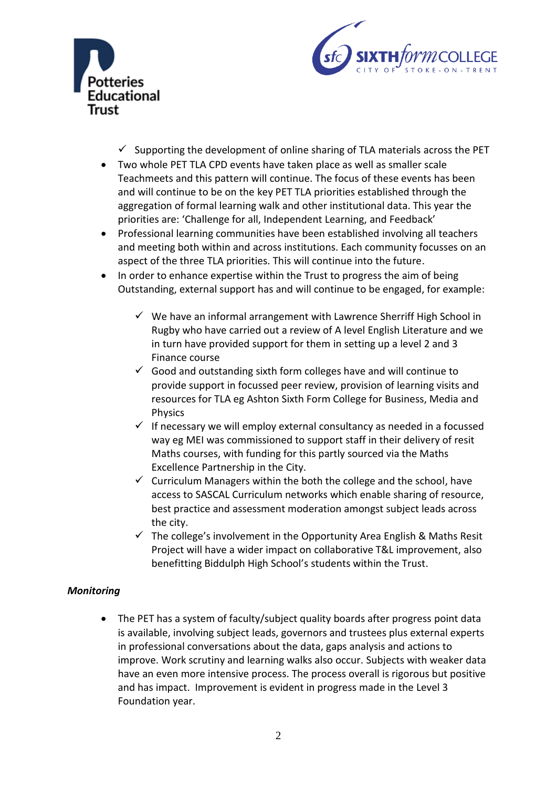



- $\checkmark$  Supporting the development of online sharing of TLA materials across the PET
- Two whole PET TLA CPD events have taken place as well as smaller scale Teachmeets and this pattern will continue. The focus of these events has been and will continue to be on the key PET TLA priorities established through the aggregation of formal learning walk and other institutional data. This year the priorities are: 'Challenge for all, Independent Learning, and Feedback'
- Professional learning communities have been established involving all teachers and meeting both within and across institutions. Each community focusses on an aspect of the three TLA priorities. This will continue into the future.
- In order to enhance expertise within the Trust to progress the aim of being Outstanding, external support has and will continue to be engaged, for example:
	- $\checkmark$  We have an informal arrangement with Lawrence Sherriff High School in Rugby who have carried out a review of A level English Literature and we in turn have provided support for them in setting up a level 2 and 3 Finance course
	- $\checkmark$  Good and outstanding sixth form colleges have and will continue to provide support in focussed peer review, provision of learning visits and resources for TLA eg Ashton Sixth Form College for Business, Media and Physics
	- $\checkmark$  If necessary we will employ external consultancy as needed in a focussed way eg MEI was commissioned to support staff in their delivery of resit Maths courses, with funding for this partly sourced via the Maths Excellence Partnership in the City.
	- $\checkmark$  Curriculum Managers within the both the college and the school, have access to SASCAL Curriculum networks which enable sharing of resource, best practice and assessment moderation amongst subject leads across the city.
	- $\checkmark$  The college's involvement in the Opportunity Area English & Maths Resit Project will have a wider impact on collaborative T&L improvement, also benefitting Biddulph High School's students within the Trust.

## *Monitoring*

• The PET has a system of faculty/subject quality boards after progress point data is available, involving subject leads, governors and trustees plus external experts in professional conversations about the data, gaps analysis and actions to improve. Work scrutiny and learning walks also occur. Subjects with weaker data have an even more intensive process. The process overall is rigorous but positive and has impact. Improvement is evident in progress made in the Level 3 Foundation year.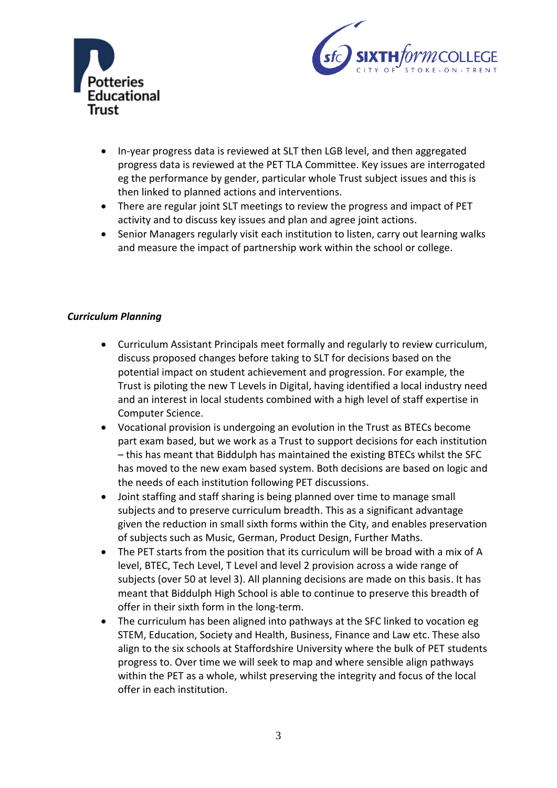



- In-year progress data is reviewed at SLT then LGB level, and then aggregated progress data is reviewed at the PET TLA Committee. Key issues are interrogated eg the performance by gender, particular whole Trust subject issues and this is then linked to planned actions and interventions.
- There are regular joint SLT meetings to review the progress and impact of PET activity and to discuss key issues and plan and agree joint actions.
- Senior Managers regularly visit each institution to listen, carry out learning walks and measure the impact of partnership work within the school or college.

## *Curriculum Planning*

- Curriculum Assistant Principals meet formally and regularly to review curriculum, discuss proposed changes before taking to SLT for decisions based on the potential impact on student achievement and progression. For example, the Trust is piloting the new T Levels in Digital, having identified a local industry need and an interest in local students combined with a high level of staff expertise in Computer Science.
- Vocational provision is undergoing an evolution in the Trust as BTECs become part exam based, but we work as a Trust to support decisions for each institution – this has meant that Biddulph has maintained the existing BTECs whilst the SFC has moved to the new exam based system. Both decisions are based on logic and the needs of each institution following PET discussions.
- Joint staffing and staff sharing is being planned over time to manage small subjects and to preserve curriculum breadth. This as a significant advantage given the reduction in small sixth forms within the City, and enables preservation of subjects such as Music, German, Product Design, Further Maths.
- The PET starts from the position that its curriculum will be broad with a mix of A level, BTEC, Tech Level, T Level and level 2 provision across a wide range of subjects (over 50 at level 3). All planning decisions are made on this basis. It has meant that Biddulph High School is able to continue to preserve this breadth of offer in their sixth form in the long-term.
- The curriculum has been aligned into pathways at the SFC linked to vocation eg STEM, Education, Society and Health, Business, Finance and Law etc. These also align to the six schools at Staffordshire University where the bulk of PET students progress to. Over time we will seek to map and where sensible align pathways within the PET as a whole, whilst preserving the integrity and focus of the local offer in each institution.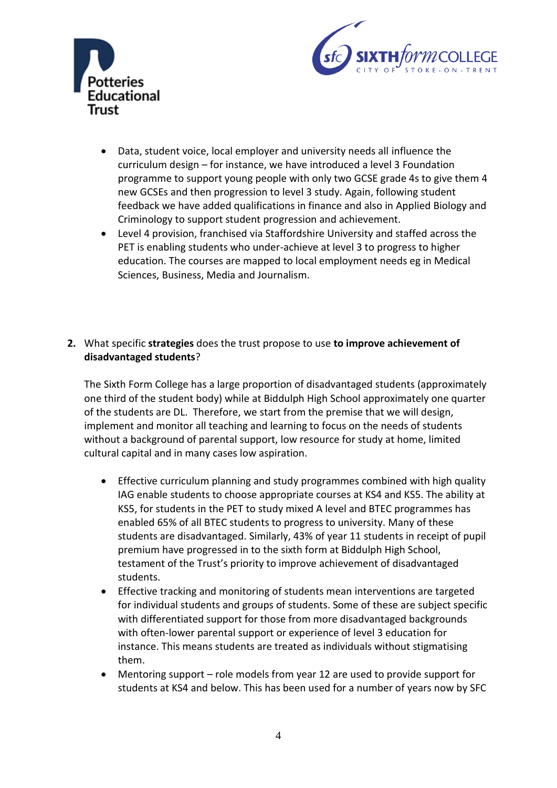



- Data, student voice, local employer and university needs all influence the curriculum design – for instance, we have introduced a level 3 Foundation programme to support young people with only two GCSE grade 4s to give them 4 new GCSEs and then progression to level 3 study. Again, following student feedback we have added qualifications in finance and also in Applied Biology and Criminology to support student progression and achievement.
- Level 4 provision, franchised via Staffordshire University and staffed across the PET is enabling students who under-achieve at level 3 to progress to higher education. The courses are mapped to local employment needs eg in Medical Sciences, Business, Media and Journalism.

## **2.** What specific **strategies** does the trust propose to use **to improve achievement of disadvantaged students**?

The Sixth Form College has a large proportion of disadvantaged students (approximately one third of the student body) while at Biddulph High School approximately one quarter of the students are DL. Therefore, we start from the premise that we will design, implement and monitor all teaching and learning to focus on the needs of students without a background of parental support, low resource for study at home, limited cultural capital and in many cases low aspiration.

- Effective curriculum planning and study programmes combined with high quality IAG enable students to choose appropriate courses at KS4 and KS5. The ability at KS5, for students in the PET to study mixed A level and BTEC programmes has enabled 65% of all BTEC students to progress to university. Many of these students are disadvantaged. Similarly, 43% of year 11 students in receipt of pupil premium have progressed in to the sixth form at Biddulph High School, testament of the Trust's priority to improve achievement of disadvantaged students.
- Effective tracking and monitoring of students mean interventions are targeted for individual students and groups of students. Some of these are subject specific with differentiated support for those from more disadvantaged backgrounds with often-lower parental support or experience of level 3 education for instance. This means students are treated as individuals without stigmatising them.
- Mentoring support role models from year 12 are used to provide support for students at KS4 and below. This has been used for a number of years now by SFC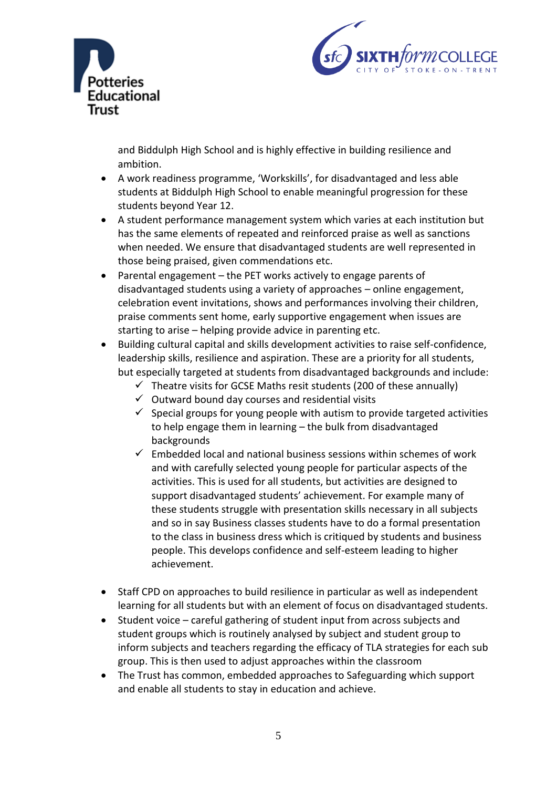



and Biddulph High School and is highly effective in building resilience and ambition.

- A work readiness programme, 'Workskills', for disadvantaged and less able students at Biddulph High School to enable meaningful progression for these students beyond Year 12.
- A student performance management system which varies at each institution but has the same elements of repeated and reinforced praise as well as sanctions when needed. We ensure that disadvantaged students are well represented in those being praised, given commendations etc.
- Parental engagement the PET works actively to engage parents of disadvantaged students using a variety of approaches – online engagement, celebration event invitations, shows and performances involving their children, praise comments sent home, early supportive engagement when issues are starting to arise – helping provide advice in parenting etc.
- Building cultural capital and skills development activities to raise self-confidence, leadership skills, resilience and aspiration. These are a priority for all students, but especially targeted at students from disadvantaged backgrounds and include:
	- $\checkmark$  Theatre visits for GCSE Maths resit students (200 of these annually)
	- $\checkmark$  Outward bound day courses and residential visits
	- $\checkmark$  Special groups for young people with autism to provide targeted activities to help engage them in learning – the bulk from disadvantaged backgrounds
	- $\checkmark$  Embedded local and national business sessions within schemes of work and with carefully selected young people for particular aspects of the activities. This is used for all students, but activities are designed to support disadvantaged students' achievement. For example many of these students struggle with presentation skills necessary in all subjects and so in say Business classes students have to do a formal presentation to the class in business dress which is critiqued by students and business people. This develops confidence and self-esteem leading to higher achievement.
- Staff CPD on approaches to build resilience in particular as well as independent learning for all students but with an element of focus on disadvantaged students.
- Student voice careful gathering of student input from across subjects and student groups which is routinely analysed by subject and student group to inform subjects and teachers regarding the efficacy of TLA strategies for each sub group. This is then used to adjust approaches within the classroom
- The Trust has common, embedded approaches to Safeguarding which support and enable all students to stay in education and achieve.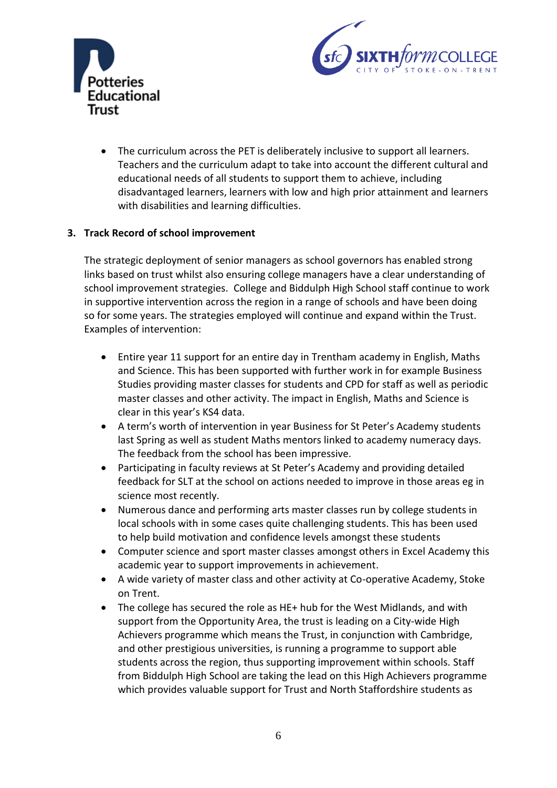



 The curriculum across the PET is deliberately inclusive to support all learners. Teachers and the curriculum adapt to take into account the different cultural and educational needs of all students to support them to achieve, including disadvantaged learners, learners with low and high prior attainment and learners with disabilities and learning difficulties.

### **3. Track Record of school improvement**

The strategic deployment of senior managers as school governors has enabled strong links based on trust whilst also ensuring college managers have a clear understanding of school improvement strategies. College and Biddulph High School staff continue to work in supportive intervention across the region in a range of schools and have been doing so for some years. The strategies employed will continue and expand within the Trust. Examples of intervention:

- Entire year 11 support for an entire day in Trentham academy in English, Maths and Science. This has been supported with further work in for example Business Studies providing master classes for students and CPD for staff as well as periodic master classes and other activity. The impact in English, Maths and Science is clear in this year's KS4 data.
- A term's worth of intervention in year Business for St Peter's Academy students last Spring as well as student Maths mentors linked to academy numeracy days. The feedback from the school has been impressive.
- Participating in faculty reviews at St Peter's Academy and providing detailed feedback for SLT at the school on actions needed to improve in those areas eg in science most recently.
- Numerous dance and performing arts master classes run by college students in local schools with in some cases quite challenging students. This has been used to help build motivation and confidence levels amongst these students
- Computer science and sport master classes amongst others in Excel Academy this academic year to support improvements in achievement.
- A wide variety of master class and other activity at Co-operative Academy, Stoke on Trent.
- The college has secured the role as HE+ hub for the West Midlands, and with support from the Opportunity Area, the trust is leading on a City-wide High Achievers programme which means the Trust, in conjunction with Cambridge, and other prestigious universities, is running a programme to support able students across the region, thus supporting improvement within schools. Staff from Biddulph High School are taking the lead on this High Achievers programme which provides valuable support for Trust and North Staffordshire students as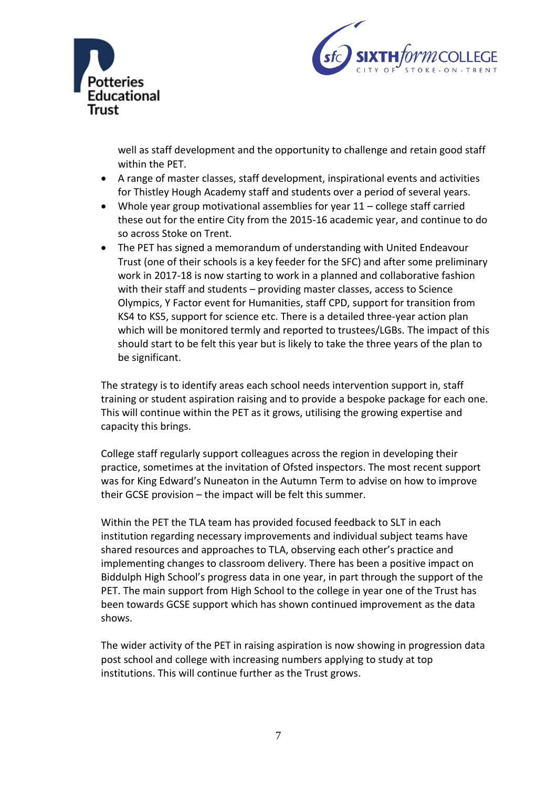



well as staff development and the opportunity to challenge and retain good staff within the PET.

- A range of master classes, staff development, inspirational events and activities for Thistley Hough Academy staff and students over a period of several years.
- Whole year group motivational assemblies for year 11 college staff carried these out for the entire City from the 2015-16 academic year, and continue to do so across Stoke on Trent.
- The PET has signed a memorandum of understanding with United Endeavour Trust (one of their schools is a key feeder for the SFC) and after some preliminary work in 2017-18 is now starting to work in a planned and collaborative fashion with their staff and students – providing master classes, access to Science Olympics, Y Factor event for Humanities, staff CPD, support for transition from KS4 to KS5, support for science etc. There is a detailed three-year action plan which will be monitored termly and reported to trustees/LGBs. The impact of this should start to be felt this year but is likely to take the three years of the plan to be significant.

The strategy is to identify areas each school needs intervention support in, staff training or student aspiration raising and to provide a bespoke package for each one. This will continue within the PET as it grows, utilising the growing expertise and capacity this brings.

College staff regularly support colleagues across the region in developing their practice, sometimes at the invitation of Ofsted inspectors. The most recent support was for King Edward's Nuneaton in the Autumn Term to advise on how to improve their GCSE provision – the impact will be felt this summer.

Within the PET the TLA team has provided focused feedback to SLT in each institution regarding necessary improvements and individual subject teams have shared resources and approaches to TLA, observing each other's practice and implementing changes to classroom delivery. There has been a positive impact on Biddulph High School's progress data in one year, in part through the support of the PET. The main support from High School to the college in year one of the Trust has been towards GCSE support which has shown continued improvement as the data shows.

The wider activity of the PET in raising aspiration is now showing in progression data post school and college with increasing numbers applying to study at top institutions. This will continue further as the Trust grows.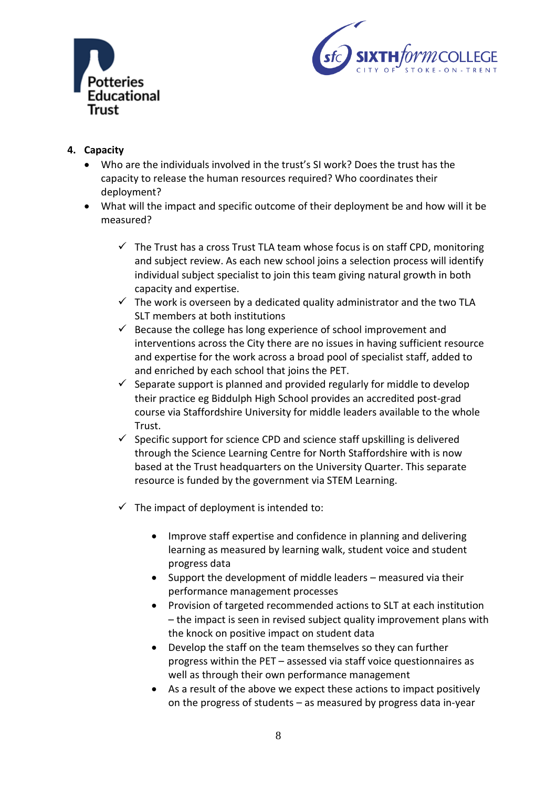



# **4. Capacity**

- Who are the individuals involved in the trust's SI work? Does the trust has the capacity to release the human resources required? Who coordinates their deployment?
- What will the impact and specific outcome of their deployment be and how will it be measured?
	- $\checkmark$  The Trust has a cross Trust TLA team whose focus is on staff CPD, monitoring and subject review. As each new school joins a selection process will identify individual subject specialist to join this team giving natural growth in both capacity and expertise.
	- $\checkmark$  The work is overseen by a dedicated quality administrator and the two TLA SLT members at both institutions
	- $\checkmark$  Because the college has long experience of school improvement and interventions across the City there are no issues in having sufficient resource and expertise for the work across a broad pool of specialist staff, added to and enriched by each school that joins the PET.
	- $\checkmark$  Separate support is planned and provided regularly for middle to develop their practice eg Biddulph High School provides an accredited post-grad course via Staffordshire University for middle leaders available to the whole Trust.
	- $\checkmark$  Specific support for science CPD and science staff upskilling is delivered through the Science Learning Centre for North Staffordshire with is now based at the Trust headquarters on the University Quarter. This separate resource is funded by the government via STEM Learning.
	- $\checkmark$  The impact of deployment is intended to:
		- Improve staff expertise and confidence in planning and delivering learning as measured by learning walk, student voice and student progress data
		- Support the development of middle leaders measured via their performance management processes
		- Provision of targeted recommended actions to SLT at each institution – the impact is seen in revised subject quality improvement plans with the knock on positive impact on student data
		- Develop the staff on the team themselves so they can further progress within the PET – assessed via staff voice questionnaires as well as through their own performance management
		- As a result of the above we expect these actions to impact positively on the progress of students – as measured by progress data in-year